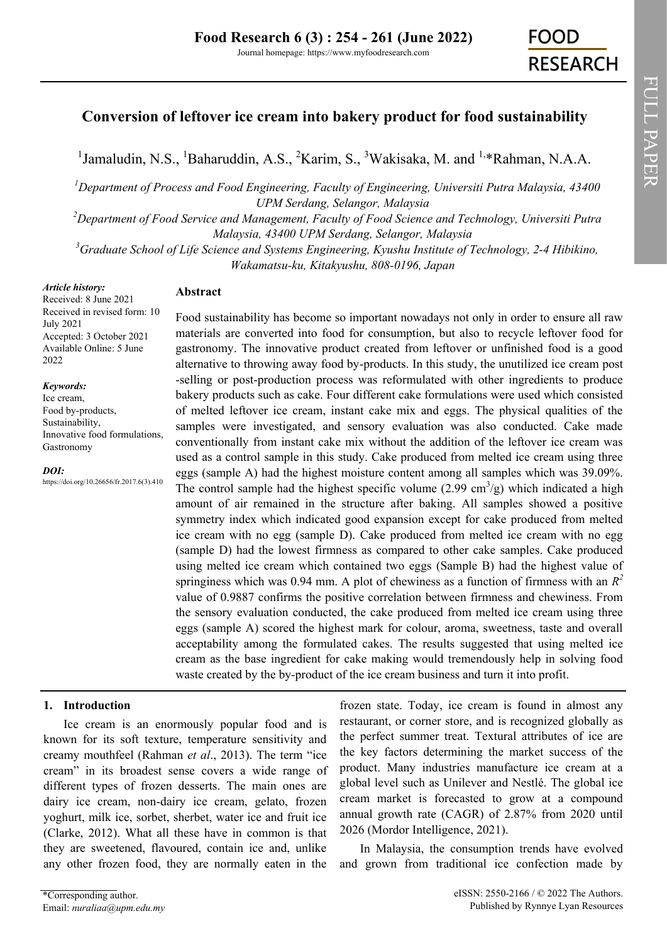FULL PAPER

FULL PAPER

# **Conversion of leftover ice cream into bakery product for food sustainability**

<sup>1</sup>Jamaludin, N.S., <sup>1</sup>Baharuddin, A.S., <sup>2</sup>Karim, S., <sup>3</sup>Wakisaka, M. and <sup>1,\*</sup>Rahman, N.A.A.

*<sup>1</sup>Department of Process and Food Engineering, Faculty of Engineering, Universiti Putra Malaysia, 43400 UPM Serdang, Selangor, Malaysia*

*<sup>2</sup>Department of Food Service and Management, Faculty of Food Science and Technology, Universiti Putra Malaysia, 43400 UPM Serdang, Selangor, Malaysia*

*<sup>3</sup>Graduate School of Life Science and Systems Engineering, Kyushu Institute of Technology, 2-4 Hibikino, Wakamatsu-ku, Kitakyushu, 808-0196, Japan*

#### *Article history:*

Received: 8 June 2021 Received in revised form: 10 July 2021 Accepted: 3 October 2021 Available Online: 5 June 2022

#### *Keywords:*

Ice cream, Food by-products, Sustainability, Innovative food formulations, Gastronomy

*DOI:*

https://doi.org/10.26656/fr.2017.6(3).410

# **Abstract**

Food sustainability has become so important nowadays not only in order to ensure all raw materials are converted into food for consumption, but also to recycle leftover food for gastronomy. The innovative product created from leftover or unfinished food is a good alternative to throwing away food by-products. In this study, the unutilized ice cream post -selling or post-production process was reformulated with other ingredients to produce bakery products such as cake. Four different cake formulations were used which consisted of melted leftover ice cream, instant cake mix and eggs. The physical qualities of the samples were investigated, and sensory evaluation was also conducted. Cake made conventionally from instant cake mix without the addition of the leftover ice cream was used as a control sample in this study. Cake produced from melted ice cream using three eggs (sample A) had the highest moisture content among all samples which was 39.09%. The control sample had the highest specific volume  $(2.99 \text{ cm}^3/\text{g})$  which indicated a high amount of air remained in the structure after baking. All samples showed a positive symmetry index which indicated good expansion except for cake produced from melted ice cream with no egg (sample D). Cake produced from melted ice cream with no egg (sample D) had the lowest firmness as compared to other cake samples. Cake produced using melted ice cream which contained two eggs (Sample B) had the highest value of springiness which was 0.94 mm. A plot of chewiness as a function of firmness with an  $R^2$ value of 0.9887 confirms the positive correlation between firmness and chewiness. From the sensory evaluation conducted, the cake produced from melted ice cream using three eggs (sample A) scored the highest mark for colour, aroma, sweetness, taste and overall acceptability among the formulated cakes. The results suggested that using melted ice cream as the base ingredient for cake making would tremendously help in solving food waste created by the by-product of the ice cream business and turn it into profit.

# **1. Introduction**

Ice cream is an enormously popular food and is known for its soft texture, temperature sensitivity and creamy mouthfeel (Rahman *et al*., 2013). The term "ice cream" in its broadest sense covers a wide range of different types of frozen desserts. The main ones are dairy ice cream, non-dairy ice cream, gelato, frozen yoghurt, milk ice, sorbet, sherbet, water ice and fruit ice (Clarke, 2012). What all these have in common is that they are sweetened, flavoured, contain ice and, unlike any other frozen food, they are normally eaten in the

frozen state. Today, ice cream is found in almost any restaurant, or corner store, and is recognized globally as the perfect summer treat. Textural attributes of ice are the key factors determining the market success of the product. Many industries manufacture ice cream at a global level such as Unilever and Nestlé. The global ice cream market is forecasted to grow at a compound annual growth rate (CAGR) of 2.87% from 2020 until 2026 (Mordor Intelligence, 2021).

In Malaysia, the consumption trends have evolved and grown from traditional ice confection made by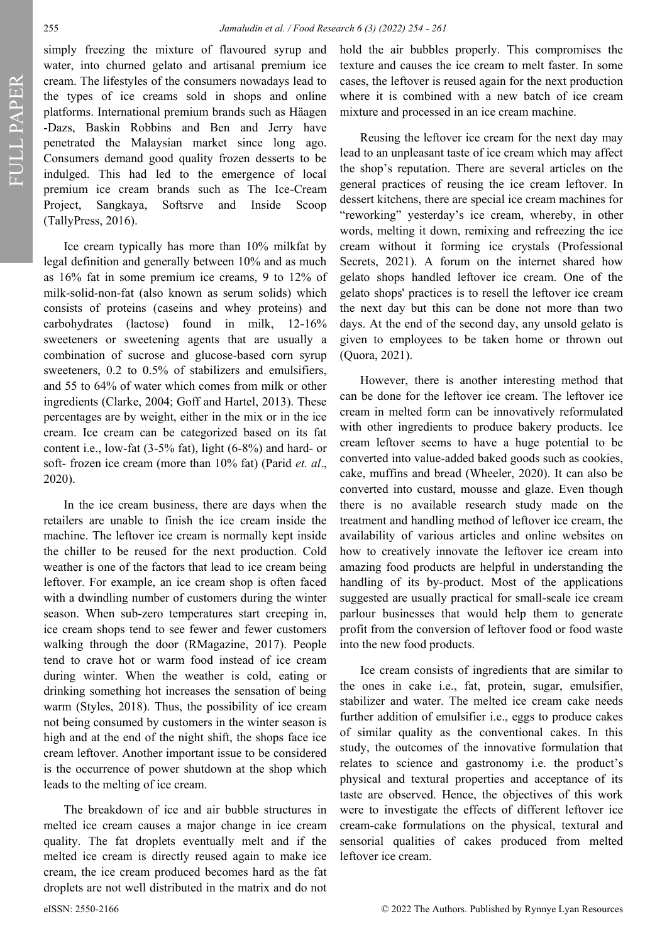FULL PAPER

simply freezing the mixture of flavoured syrup and water, into churned gelato and artisanal premium ice cream. The lifestyles of the consumers nowadays lead to the types of ice creams sold in shops and online platforms. International premium brands such as Häagen -Dazs, Baskin Robbins and Ben and Jerry have penetrated the Malaysian market since long ago. Consumers demand good quality frozen desserts to be indulged. This had led to the emergence of local premium ice cream brands such as The Ice-Cream Project, Sangkaya, Softsrve and Inside Scoop (TallyPress, 2016).

Ice cream typically has more than 10% milkfat by legal definition and generally between 10% and as much as 16% fat in some premium ice creams, 9 to 12% of milk-solid-non-fat (also known as serum solids) which consists of proteins (caseins and whey proteins) and carbohydrates (lactose) found in milk, 12-16% sweeteners or sweetening agents that are usually a combination of sucrose and glucose-based corn syrup sweeteners, 0.2 to 0.5% of stabilizers and emulsifiers, and 55 to 64% of water which comes from milk or other ingredients (Clarke, 2004; Goff and Hartel, 2013). These percentages are by weight, either in the mix or in the ice cream. Ice cream can be categorized based on its fat content i.e., low-fat (3-5% fat), light (6-8%) and hard- or soft- frozen ice cream (more than 10% fat) (Parid *et. al*., 2020).

In the ice cream business, there are days when the retailers are unable to finish the ice cream inside the machine. The leftover ice cream is normally kept inside the chiller to be reused for the next production. Cold weather is one of the factors that lead to ice cream being leftover. For example, an ice cream shop is often faced with a dwindling number of customers during the winter season. When sub-zero temperatures start creeping in, ice cream shops tend to see fewer and fewer customers walking through the door (RMagazine, 2017). People tend to crave hot or warm food instead of ice cream during winter. When the weather is cold, eating or drinking something hot increases the sensation of being warm (Styles, 2018). Thus, the possibility of ice cream not being consumed by customers in the winter season is high and at the end of the night shift, the shops face ice cream leftover. Another important issue to be considered is the occurrence of power shutdown at the shop which leads to the melting of ice cream.

The breakdown of ice and air bubble structures in melted ice cream causes a major change in ice cream quality. The fat droplets eventually melt and if the melted ice cream is directly reused again to make ice cream, the ice cream produced becomes hard as the fat droplets are not well distributed in the matrix and do not hold the air bubbles properly. This compromises the texture and causes the ice cream to melt faster. In some cases, the leftover is reused again for the next production where it is combined with a new batch of ice cream mixture and processed in an ice cream machine.

Reusing the leftover ice cream for the next day may lead to an unpleasant taste of ice cream which may affect the shop's reputation. There are several articles on the general practices of reusing the ice cream leftover. In dessert kitchens, there are special ice cream machines for "reworking" yesterday's ice cream, whereby, in other words, melting it down, remixing and refreezing the ice cream without it forming ice crystals (Professional Secrets, 2021). A forum on the internet shared how gelato shops handled leftover ice cream. One of the gelato shops' practices is to resell the leftover ice cream the next day but this can be done not more than two days. At the end of the second day, any unsold gelato is given to employees to be taken home or thrown out (Quora, 2021).

However, there is another interesting method that can be done for the leftover ice cream. The leftover ice cream in melted form can be innovatively reformulated with other ingredients to produce bakery products. Ice cream leftover seems to have a huge potential to be converted into value-added baked goods such as cookies, cake, muffins and bread (Wheeler, 2020). It can also be converted into custard, mousse and glaze. Even though there is no available research study made on the treatment and handling method of leftover ice cream, the availability of various articles and online websites on how to creatively innovate the leftover ice cream into amazing food products are helpful in understanding the handling of its by-product. Most of the applications suggested are usually practical for small-scale ice cream parlour businesses that would help them to generate profit from the conversion of leftover food or food waste into the new food products.

Ice cream consists of ingredients that are similar to the ones in cake i.e., fat, protein, sugar, emulsifier, stabilizer and water. The melted ice cream cake needs further addition of emulsifier i.e., eggs to produce cakes of similar quality as the conventional cakes. In this study, the outcomes of the innovative formulation that relates to science and gastronomy i.e. the product's physical and textural properties and acceptance of its taste are observed. Hence, the objectives of this work were to investigate the effects of different leftover ice cream-cake formulations on the physical, textural and sensorial qualities of cakes produced from melted leftover ice cream.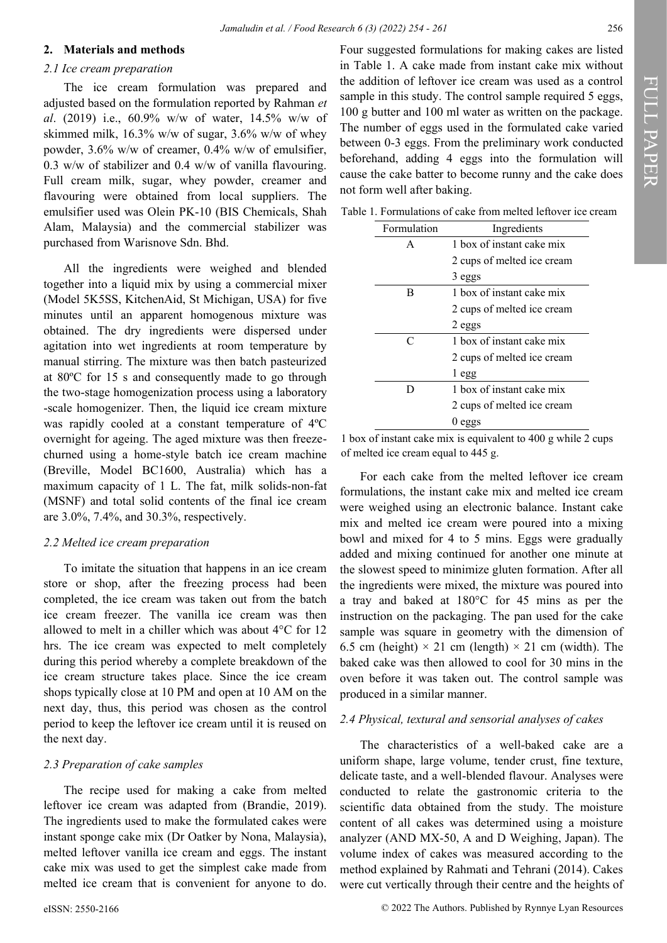#### **2. Materials and methods**

## *2.1 Ice cream preparation*

The ice cream formulation was prepared and adjusted based on the formulation reported by Rahman *et al*. (2019) i.e., 60.9% w/w of water, 14.5% w/w of skimmed milk, 16.3% w/w of sugar, 3.6% w/w of whey powder, 3.6% w/w of creamer, 0.4% w/w of emulsifier, 0.3 w/w of stabilizer and 0.4 w/w of vanilla flavouring. Full cream milk, sugar, whey powder, creamer and flavouring were obtained from local suppliers. The emulsifier used was Olein PK-10 (BIS Chemicals, Shah Alam, Malaysia) and the commercial stabilizer was purchased from Warisnove Sdn. Bhd.

All the ingredients were weighed and blended together into a liquid mix by using a commercial mixer (Model 5K5SS, KitchenAid, St Michigan, USA) for five minutes until an apparent homogenous mixture was obtained. The dry ingredients were dispersed under agitation into wet ingredients at room temperature by manual stirring. The mixture was then batch pasteurized at 80ºC for 15 s and consequently made to go through the two-stage homogenization process using a laboratory -scale homogenizer. Then, the liquid ice cream mixture was rapidly cooled at a constant temperature of 4ºC overnight for ageing. The aged mixture was then freezechurned using a home-style batch ice cream machine (Breville, Model BC1600, Australia) which has a maximum capacity of 1 L. The fat, milk solids-non-fat (MSNF) and total solid contents of the final ice cream are 3.0%, 7.4%, and 30.3%, respectively.

#### *2.2 Melted ice cream preparation*

To imitate the situation that happens in an ice cream store or shop, after the freezing process had been completed, the ice cream was taken out from the batch ice cream freezer. The vanilla ice cream was then allowed to melt in a chiller which was about 4°C for 12 hrs. The ice cream was expected to melt completely during this period whereby a complete breakdown of the ice cream structure takes place. Since the ice cream shops typically close at 10 PM and open at 10 AM on the next day, thus, this period was chosen as the control period to keep the leftover ice cream until it is reused on the next day.

### *2.3 Preparation of cake samples*

The recipe used for making a cake from melted leftover ice cream was adapted from (Brandie, 2019). The ingredients used to make the formulated cakes were instant sponge cake mix (Dr Oatker by Nona, Malaysia), melted leftover vanilla ice cream and eggs. The instant cake mix was used to get the simplest cake made from melted ice cream that is convenient for anyone to do.

Four suggested formulations for making cakes are listed in Table 1. A cake made from instant cake mix without the addition of leftover ice cream was used as a control sample in this study. The control sample required 5 eggs, 100 g butter and 100 ml water as written on the package. The number of eggs used in the formulated cake varied between 0-3 eggs. From the preliminary work conducted beforehand, adding 4 eggs into the formulation will cause the cake batter to become runny and the cake does not form well after baking.

Table 1. Formulations of cake from melted leftover ice cream

| Formulation | Ingredients                |  |  |
|-------------|----------------------------|--|--|
| А           | 1 box of instant cake mix  |  |  |
|             | 2 cups of melted ice cream |  |  |
|             | 3 eggs                     |  |  |
| B           | 1 box of instant cake mix  |  |  |
|             | 2 cups of melted ice cream |  |  |
|             | 2 eggs                     |  |  |
| C           | 1 box of instant cake mix  |  |  |
|             | 2 cups of melted ice cream |  |  |
|             | l egg                      |  |  |
| נ ו         | 1 box of instant cake mix  |  |  |
|             | 2 cups of melted ice cream |  |  |
|             | eggs                       |  |  |

1 box of instant cake mix is equivalent to 400 g while 2 cups of melted ice cream equal to 445 g.

For each cake from the melted leftover ice cream formulations, the instant cake mix and melted ice cream were weighed using an electronic balance. Instant cake mix and melted ice cream were poured into a mixing bowl and mixed for 4 to 5 mins. Eggs were gradually added and mixing continued for another one minute at the slowest speed to minimize gluten formation. After all the ingredients were mixed, the mixture was poured into a tray and baked at 180°C for 45 mins as per the instruction on the packaging. The pan used for the cake sample was square in geometry with the dimension of 6.5 cm (height)  $\times$  21 cm (length)  $\times$  21 cm (width). The baked cake was then allowed to cool for 30 mins in the oven before it was taken out. The control sample was produced in a similar manner.

#### *2.4 Physical, textural and sensorial analyses of cakes*

The characteristics of a well-baked cake are a uniform shape, large volume, tender crust, fine texture, delicate taste, and a well-blended flavour. Analyses were conducted to relate the gastronomic criteria to the scientific data obtained from the study. The moisture content of all cakes was determined using a moisture analyzer (AND MX-50, A and D Weighing, Japan). The volume index of cakes was measured according to the method explained by Rahmati and Tehrani (2014). Cakes were cut vertically through their centre and the heights of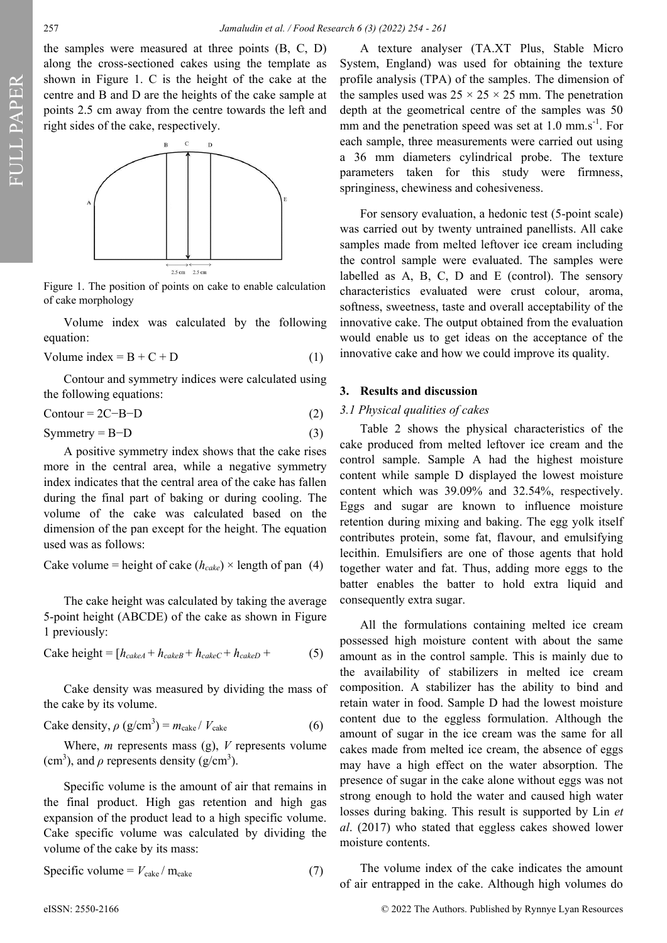the samples were measured at three points (B, C, D) along the cross-sectioned cakes using the template as shown in Figure 1. C is the height of the cake at the centre and B and D are the heights of the cake sample at points 2.5 cm away from the centre towards the left and right sides of the cake, respectively.



Figure 1. The position of points on cake to enable calculation of cake morphology

Volume index was calculated by the following equation:

$$
Volume index = B + C + D \tag{1}
$$

Contour and symmetry indices were calculated using the following equations:

$$
Contour = 2C - B - D \tag{2}
$$

 $Symmetry = B-D$  (3)

A positive symmetry index shows that the cake rises more in the central area, while a negative symmetry index indicates that the central area of the cake has fallen during the final part of baking or during cooling. The volume of the cake was calculated based on the dimension of the pan except for the height. The equation used was as follows:

Cake volume = height of cake  $(h_{\text{calc}}) \times$  length of pan (4)

The cake height was calculated by taking the average 5-point height (ABCDE) of the cake as shown in Figure 1 previously:

$$
Cache height = [h_{cacheA} + h_{cacheB} + h_{cacheC} + h_{cacheD} + (5)
$$

Cake density was measured by dividing the mass of the cake by its volume.

$$
Cake density, \rho (g/cm^3) = m_{\text{calc}} / V_{\text{calc}}
$$
 (6)

Where, *m* represents mass (g), *V* represents volume (cm<sup>3</sup>), and  $\rho$  represents density (g/cm<sup>3</sup>).

Specific volume is the amount of air that remains in the final product. High gas retention and high gas expansion of the product lead to a high specific volume. Cake specific volume was calculated by dividing the volume of the cake by its mass:

$$
Specific \, volume = V_{\text{calc}} / m_{\text{calc}} \tag{7}
$$

A texture analyser (TA.XT Plus, Stable Micro System, England) was used for obtaining the texture profile analysis (TPA) of the samples. The dimension of the samples used was  $25 \times 25 \times 25$  mm. The penetration depth at the geometrical centre of the samples was 50 mm and the penetration speed was set at  $1.0 \text{ mm.s}^{-1}$ . For each sample, three measurements were carried out using a 36 mm diameters cylindrical probe. The texture parameters taken for this study were firmness, springiness, chewiness and cohesiveness.

For sensory evaluation, a hedonic test (5-point scale) was carried out by twenty untrained panellists. All cake samples made from melted leftover ice cream including the control sample were evaluated. The samples were labelled as A, B, C, D and E (control). The sensory characteristics evaluated were crust colour, aroma, softness, sweetness, taste and overall acceptability of the innovative cake. The output obtained from the evaluation would enable us to get ideas on the acceptance of the innovative cake and how we could improve its quality.

# **3. Results and discussion**

## *3.1 Physical qualities of cakes*

Table 2 shows the physical characteristics of the cake produced from melted leftover ice cream and the control sample. Sample A had the highest moisture content while sample D displayed the lowest moisture content which was 39.09% and 32.54%, respectively. Eggs and sugar are known to influence moisture retention during mixing and baking. The egg yolk itself contributes protein, some fat, flavour, and emulsifying lecithin. Emulsifiers are one of those agents that hold together water and fat. Thus, adding more eggs to the batter enables the batter to hold extra liquid and consequently extra sugar.

All the formulations containing melted ice cream possessed high moisture content with about the same amount as in the control sample. This is mainly due to the availability of stabilizers in melted ice cream composition. A stabilizer has the ability to bind and retain water in food. Sample D had the lowest moisture content due to the eggless formulation. Although the amount of sugar in the ice cream was the same for all cakes made from melted ice cream, the absence of eggs may have a high effect on the water absorption. The presence of sugar in the cake alone without eggs was not strong enough to hold the water and caused high water losses during baking. This result is supported by Lin *et al*. (2017) who stated that eggless cakes showed lower moisture contents.

The volume index of the cake indicates the amount of air entrapped in the cake. Although high volumes do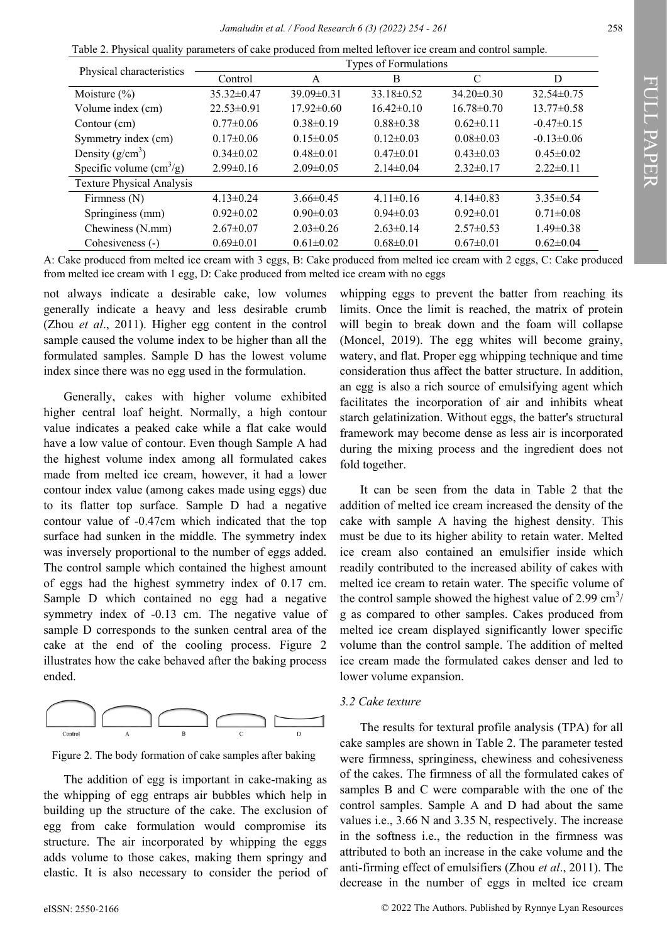Table 2. Physical quality parameters of cake produced from melted leftover ice cream and control sample.

| Physical characteristics                 | Types of Formulations |                  |                  |                  |                  |  |
|------------------------------------------|-----------------------|------------------|------------------|------------------|------------------|--|
|                                          | Control               | A                | B                | C                | D                |  |
| Moisture $(\% )$                         | $35.32 \pm 0.47$      | $39.09 \pm 0.31$ | $33.18 \pm 0.52$ | $34.20 \pm 0.30$ | $32.54\pm0.75$   |  |
| Volume index (cm)                        | $22.53\pm0.91$        | $17.92\pm0.60$   | $16.42\pm0.10$   | $16.78 \pm 0.70$ | $13.77 \pm 0.58$ |  |
| Contour (cm)                             | $0.77 \pm 0.06$       | $0.38 \pm 0.19$  | $0.88 \pm 0.38$  | $0.62\pm0.11$    | $-0.47\pm0.15$   |  |
| Symmetry index (cm)                      | $0.17\pm0.06$         | $0.15 \pm 0.05$  | $0.12\pm0.03$    | $0.08 \pm 0.03$  | $-0.13 \pm 0.06$ |  |
| Density $(g/cm^3)$                       | $0.34\pm0.02$         | $0.48 \pm 0.01$  | $0.47 \pm 0.01$  | $0.43 \pm 0.03$  | $0.45 \pm 0.02$  |  |
| Specific volume $\text{cm}^3\text{/g}$ ) | $2.99 \pm 0.16$       | $2.09 \pm 0.05$  | $2.14 \pm 0.04$  | $2.32\pm0.17$    | $2.22 \pm 0.11$  |  |
| <b>Texture Physical Analysis</b>         |                       |                  |                  |                  |                  |  |
| Firmness $(N)$                           | $4.13 \pm 0.24$       | $3.66\pm0.45$    | $4.11\pm0.16$    | $4.14\pm0.83$    | $3.35\pm0.54$    |  |
| Springiness (mm)                         | $0.92 \pm 0.02$       | $0.90 \pm 0.03$  | $0.94 \pm 0.03$  | $0.92 \pm 0.01$  | $0.71 \pm 0.08$  |  |
| Chewiness (N.mm)                         | $2.67 \pm 0.07$       | $2.03 \pm 0.26$  | $2.63 \pm 0.14$  | $2.57 \pm 0.53$  | $1.49 \pm 0.38$  |  |
| Cohesiveness (-)                         | $0.69 \pm 0.01$       | $0.61 \pm 0.02$  | $0.68 \pm 0.01$  | $0.67 \pm 0.01$  | $0.62 \pm 0.04$  |  |

A: Cake produced from melted ice cream with 3 eggs, B: Cake produced from melted ice cream with 2 eggs, C: Cake produced from melted ice cream with 1 egg, D: Cake produced from melted ice cream with no eggs

not always indicate a desirable cake, low volumes generally indicate a heavy and less desirable crumb (Zhou *et al*., 2011). Higher egg content in the control sample caused the volume index to be higher than all the formulated samples. Sample D has the lowest volume index since there was no egg used in the formulation.

Generally, cakes with higher volume exhibited higher central loaf height. Normally, a high contour value indicates a peaked cake while a flat cake would have a low value of contour. Even though Sample A had the highest volume index among all formulated cakes made from melted ice cream, however, it had a lower contour index value (among cakes made using eggs) due to its flatter top surface. Sample D had a negative contour value of -0.47cm which indicated that the top surface had sunken in the middle. The symmetry index was inversely proportional to the number of eggs added. The control sample which contained the highest amount of eggs had the highest symmetry index of 0.17 cm. Sample D which contained no egg had a negative symmetry index of -0.13 cm. The negative value of sample D corresponds to the sunken central area of the cake at the end of the cooling process. Figure 2 illustrates how the cake behaved after the baking process ended.



Figure 2. The body formation of cake samples after baking

The addition of egg is important in cake-making as the whipping of egg entraps air bubbles which help in building up the structure of the cake. The exclusion of egg from cake formulation would compromise its structure. The air incorporated by whipping the eggs adds volume to those cakes, making them springy and elastic. It is also necessary to consider the period of whipping eggs to prevent the batter from reaching its limits. Once the limit is reached, the matrix of protein will begin to break down and the foam will collapse (Moncel, 2019). The egg whites will become grainy, watery, and flat. Proper egg whipping technique and time consideration thus affect the batter structure. In addition, an egg is also a rich source of emulsifying agent which facilitates the incorporation of air and inhibits wheat starch gelatinization. Without eggs, the batter's structural framework may become dense as less air is incorporated during the mixing process and the ingredient does not fold together.

It can be seen from the data in Table 2 that the addition of melted ice cream increased the density of the cake with sample A having the highest density. This must be due to its higher ability to retain water. Melted ice cream also contained an emulsifier inside which readily contributed to the increased ability of cakes with melted ice cream to retain water. The specific volume of the control sample showed the highest value of 2.99  $\text{cm}^3$ / g as compared to other samples. Cakes produced from melted ice cream displayed significantly lower specific volume than the control sample. The addition of melted ice cream made the formulated cakes denser and led to lower volume expansion.

# *3.2 Cake texture*

The results for textural profile analysis (TPA) for all cake samples are shown in Table 2. The parameter tested were firmness, springiness, chewiness and cohesiveness of the cakes. The firmness of all the formulated cakes of samples B and C were comparable with the one of the control samples. Sample A and D had about the same values i.e., 3.66 N and 3.35 N, respectively. The increase in the softness i.e., the reduction in the firmness was attributed to both an increase in the cake volume and the anti-firming effect of emulsifiers (Zhou *et al*., 2011). The decrease in the number of eggs in melted ice cream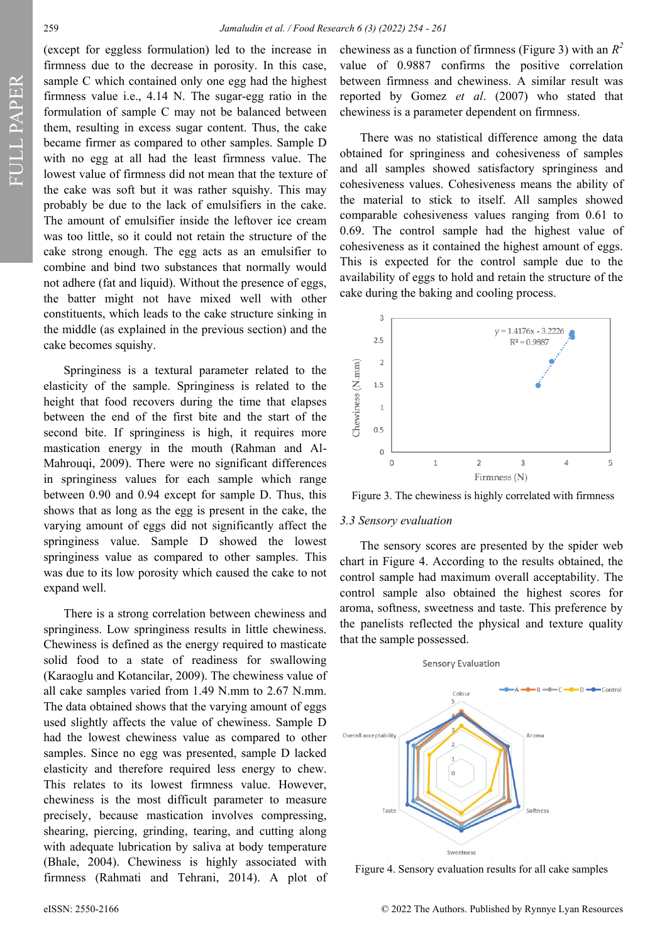FULL PAPER

(except for eggless formulation) led to the increase in firmness due to the decrease in porosity. In this case, sample C which contained only one egg had the highest firmness value i.e., 4.14 N. The sugar-egg ratio in the formulation of sample C may not be balanced between them, resulting in excess sugar content. Thus, the cake became firmer as compared to other samples. Sample D with no egg at all had the least firmness value. The lowest value of firmness did not mean that the texture of the cake was soft but it was rather squishy. This may probably be due to the lack of emulsifiers in the cake. The amount of emulsifier inside the leftover ice cream was too little, so it could not retain the structure of the cake strong enough. The egg acts as an emulsifier to combine and bind two substances that normally would not adhere (fat and liquid). Without the presence of eggs, the batter might not have mixed well with other constituents, which leads to the cake structure sinking in the middle (as explained in the previous section) and the cake becomes squishy.

Springiness is a textural parameter related to the elasticity of the sample. Springiness is related to the height that food recovers during the time that elapses between the end of the first bite and the start of the second bite. If springiness is high, it requires more mastication energy in the mouth (Rahman and Al-Mahrouqi, 2009). There were no significant differences in springiness values for each sample which range between 0.90 and 0.94 except for sample D. Thus, this shows that as long as the egg is present in the cake, the varying amount of eggs did not significantly affect the springiness value. Sample D showed the lowest springiness value as compared to other samples. This was due to its low porosity which caused the cake to not expand well.

There is a strong correlation between chewiness and springiness. Low springiness results in little chewiness. Chewiness is defined as the energy required to masticate solid food to a state of readiness for swallowing (Karaoglu and Kotancilar, 2009). The chewiness value of all cake samples varied from 1.49 N.mm to 2.67 N.mm. The data obtained shows that the varying amount of eggs used slightly affects the value of chewiness. Sample D had the lowest chewiness value as compared to other samples. Since no egg was presented, sample D lacked elasticity and therefore required less energy to chew. This relates to its lowest firmness value. However, chewiness is the most difficult parameter to measure precisely, because mastication involves compressing, shearing, piercing, grinding, tearing, and cutting along with adequate lubrication by saliva at body temperature (Bhale, 2004). Chewiness is highly associated with firmness (Rahmati and Tehrani, 2014). A plot of

chewiness as a function of firmness (Figure 3) with an  $R^2$ value of 0.9887 confirms the positive correlation between firmness and chewiness. A similar result was reported by Gomez *et al*. (2007) who stated that chewiness is a parameter dependent on firmness.

There was no statistical difference among the data obtained for springiness and cohesiveness of samples and all samples showed satisfactory springiness and cohesiveness values. Cohesiveness means the ability of the material to stick to itself. All samples showed comparable cohesiveness values ranging from 0.61 to 0.69. The control sample had the highest value of cohesiveness as it contained the highest amount of eggs. This is expected for the control sample due to the availability of eggs to hold and retain the structure of the cake during the baking and cooling process.



Figure 3. The chewiness is highly correlated with firmness

#### *3.3 Sensory evaluation*

The sensory scores are presented by the spider web chart in Figure 4. According to the results obtained, the control sample had maximum overall acceptability. The control sample also obtained the highest scores for aroma, softness, sweetness and taste. This preference by the panelists reflected the physical and texture quality that the sample possessed.



Figure 4. Sensory evaluation results for all cake samples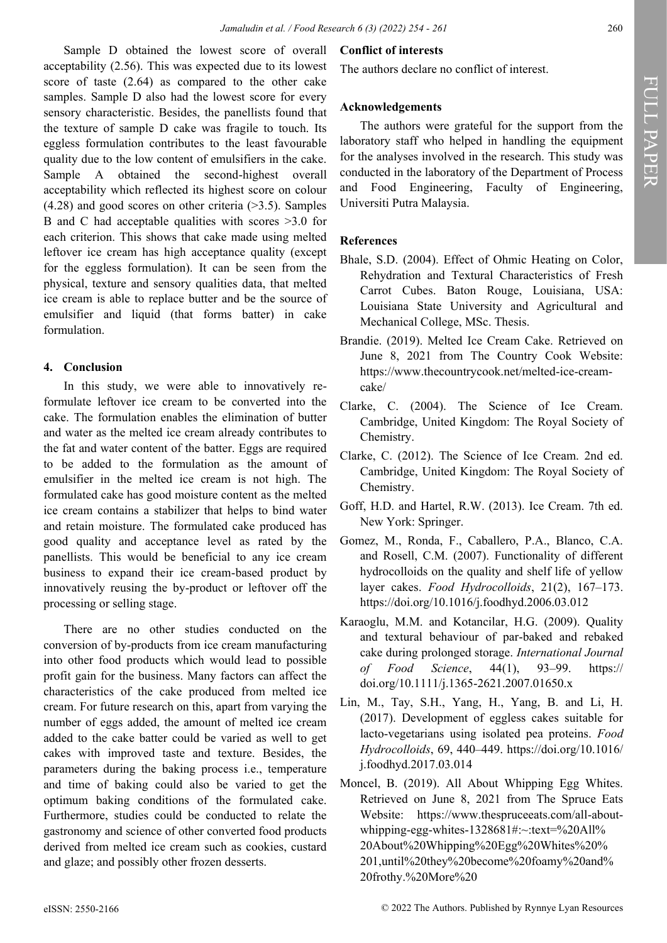Sample D obtained the lowest score of overall acceptability (2.56). This was expected due to its lowest score of taste (2.64) as compared to the other cake samples. Sample D also had the lowest score for every sensory characteristic. Besides, the panellists found that the texture of sample D cake was fragile to touch. Its eggless formulation contributes to the least favourable quality due to the low content of emulsifiers in the cake. Sample A obtained the second-highest overall acceptability which reflected its highest score on colour  $(4.28)$  and good scores on other criteria  $(>=3.5)$ . Samples B and C had acceptable qualities with scores >3.0 for each criterion. This shows that cake made using melted leftover ice cream has high acceptance quality (except for the eggless formulation). It can be seen from the physical, texture and sensory qualities data, that melted ice cream is able to replace butter and be the source of emulsifier and liquid (that forms batter) in cake formulation.

## **4. Conclusion**

In this study, we were able to innovatively reformulate leftover ice cream to be converted into the cake. The formulation enables the elimination of butter and water as the melted ice cream already contributes to the fat and water content of the batter. Eggs are required to be added to the formulation as the amount of emulsifier in the melted ice cream is not high. The formulated cake has good moisture content as the melted ice cream contains a stabilizer that helps to bind water and retain moisture. The formulated cake produced has good quality and acceptance level as rated by the panellists. This would be beneficial to any ice cream business to expand their ice cream-based product by innovatively reusing the by-product or leftover off the processing or selling stage.

There are no other studies conducted on the conversion of by-products from ice cream manufacturing into other food products which would lead to possible profit gain for the business. Many factors can affect the characteristics of the cake produced from melted ice cream. For future research on this, apart from varying the number of eggs added, the amount of melted ice cream added to the cake batter could be varied as well to get cakes with improved taste and texture. Besides, the parameters during the baking process i.e., temperature and time of baking could also be varied to get the optimum baking conditions of the formulated cake. Furthermore, studies could be conducted to relate the gastronomy and science of other converted food products derived from melted ice cream such as cookies, custard and glaze; and possibly other frozen desserts.

# **Conflict of interests**

The authors declare no conflict of interest.

# **Acknowledgements**

The authors were grateful for the support from the laboratory staff who helped in handling the equipment for the analyses involved in the research. This study was conducted in the laboratory of the Department of Process and Food Engineering, Faculty of Engineering, Universiti Putra Malaysia.

# **References**

- Bhale, S.D. (2004). Effect of Ohmic Heating on Color, Rehydration and Textural Characteristics of Fresh Carrot Cubes. Baton Rouge, Louisiana, USA: Louisiana State University and Agricultural and Mechanical College, MSc. Thesis.
- Brandie. (2019). Melted Ice Cream Cake. Retrieved on June 8, 2021 from The Country Cook Website: [https://www.thecountrycook.net/melted](about:blank)-ice-cream[cake/](about:blank)
- Clarke, C. (2004). The Science of Ice Cream. Cambridge, United Kingdom: The Royal Society of Chemistry.
- Clarke, C. (2012). The Science of Ice Cream. 2nd ed. Cambridge, United Kingdom: The Royal Society of Chemistry.
- Goff, H.D. and Hartel, R.W. (2013). Ice Cream. 7th ed. New York: Springer.
- Gomez, M., Ronda, F., Caballero, P.A., Blanco, C.A. and Rosell, C.M. (2007). Functionality of different hydrocolloids on the quality and shelf life of yellow layer cakes. *Food Hydrocolloids*, 21(2), 167–173. [https://doi.org/10.1016/j.foodhyd.2006.03.012](about:blank)
- Karaoglu, M.M. and Kotancilar, H.G. (2009). Quality and textural behaviour of par-baked and rebaked cake during prolonged storage. *International Journal of Food Science*, 44(1), 93–99. [https://](https://doi.org/10.1111/j.1365-2621.2007.01650.x) [doi.org/10.1111/j.1365](https://doi.org/10.1111/j.1365-2621.2007.01650.x)-2621.2007.01650.x
- Lin, M., Tay, S.H., Yang, H., Yang, B. and Li, H. (2017). Development of eggless cakes suitable for lacto-vegetarians using isolated pea proteins. *Food Hydrocolloids*, 69, 440–449. [https://doi.org/10.1016/](https://doi.org/10.1016/j.foodhyd.2017.03.014) [j.foodhyd.2017.03.014](https://doi.org/10.1016/j.foodhyd.2017.03.014)
- Moncel, B. (2019). All About Whipping Egg Whites. Retrieved on June 8, 2021 from The Spruce Eats Website: [https://www.thespruceeats.com/all](about:blank#:~:text=%20All%20About%20Whipping%20Egg%20Whites%20%201,until%20they%20become%20foamy%20and%20frothy.%20More%20)-aboutwhipping-egg-whites-[1328681#:~:text=%20All%](about:blank#:~:text=%20All%20About%20Whipping%20Egg%20Whites%20%201,until%20they%20become%20foamy%20and%20frothy.%20More%20) [20About%20Whipping%20Egg%20Whites%20%](about:blank#:~:text=%20All%20About%20Whipping%20Egg%20Whites%20%201,until%20they%20become%20foamy%20and%20frothy.%20More%20) [201,until%20they%20become%20foamy%20and%](about:blank#:~:text=%20All%20About%20Whipping%20Egg%20Whites%20%201,until%20they%20become%20foamy%20and%20frothy.%20More%20) [20frothy.%20More%20](about:blank#:~:text=%20All%20About%20Whipping%20Egg%20Whites%20%201,until%20they%20become%20foamy%20and%20frothy.%20More%20)